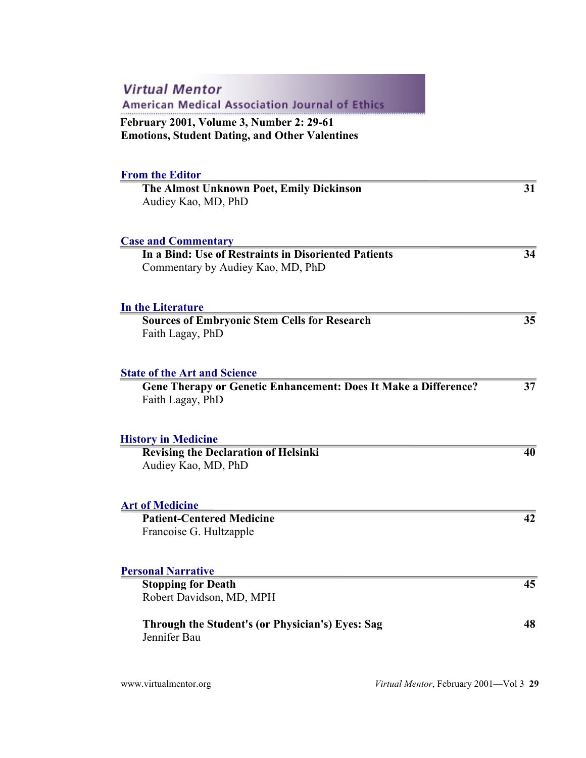| <b>Virtual Mentor</b><br><b>American Medical Association Journal of Ethics</b>                                                    |    |
|-----------------------------------------------------------------------------------------------------------------------------------|----|
| <b>February 2001, Volume 3, Number 2: 29-61</b><br><b>Emotions, Student Dating, and Other Valentines</b>                          |    |
| <b>From the Editor</b><br>The Almost Unknown Poet, Emily Dickinson<br>Audiey Kao, MD, PhD                                         | 31 |
| <b>Case and Commentary</b><br>In a Bind: Use of Restraints in Disoriented Patients<br>Commentary by Audiey Kao, MD, PhD           | 34 |
| <b>In the Literature</b><br><b>Sources of Embryonic Stem Cells for Research</b><br>Faith Lagay, PhD                               | 35 |
| <b>State of the Art and Science</b><br><b>Gene Therapy or Genetic Enhancement: Does It Make a Difference?</b><br>Faith Lagay, PhD | 37 |
| <b>History in Medicine</b><br><b>Revising the Declaration of Helsinki</b><br>Audiey Kao, MD, PhD                                  | 40 |
| <b>Art of Medicine</b><br><b>Patient-Centered Medicine</b><br>Francoise G. Hultzapple                                             | 42 |
| <b>Personal Narrative</b><br><b>Stopping for Death</b><br>Robert Davidson, MD, MPH                                                | 45 |
| Through the Student's (or Physician's) Eyes: Sag<br>Jennifer Bau                                                                  | 48 |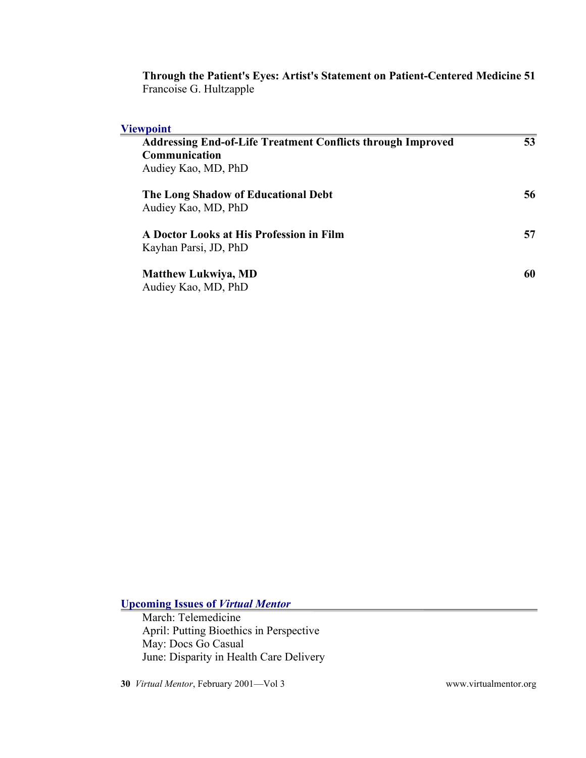**Through the Patient's Eyes: Artist's Statement on Patient-Centered Medicine 51** Francoise G. Hultzapple

#### **Viewpoint**

| <b>Addressing End-of-Life Treatment Conflicts through Improved</b> | 53 |
|--------------------------------------------------------------------|----|
| Communication                                                      |    |
| Audiey Kao, MD, PhD                                                |    |
|                                                                    |    |
| The Long Shadow of Educational Debt                                | 56 |
| Audiey Kao, MD, PhD                                                |    |
| A Doctor Looks at His Profession in Film                           | 57 |
| Kayhan Parsi, JD, PhD                                              |    |
|                                                                    |    |
| <b>Matthew Lukwiya, MD</b>                                         | 60 |
| Audiey Kao, MD, PhD                                                |    |

**Upcoming Issues of** *Virtual Mentor*

March: Telemedicine April: Putting Bioethics in Perspective May: Docs Go Casual June: Disparity in Health Care Delivery

**30** *Virtual Mentor*, February 2001—Vol 3 [www.virtualmentor.org](http://www.virtualmentor.org/)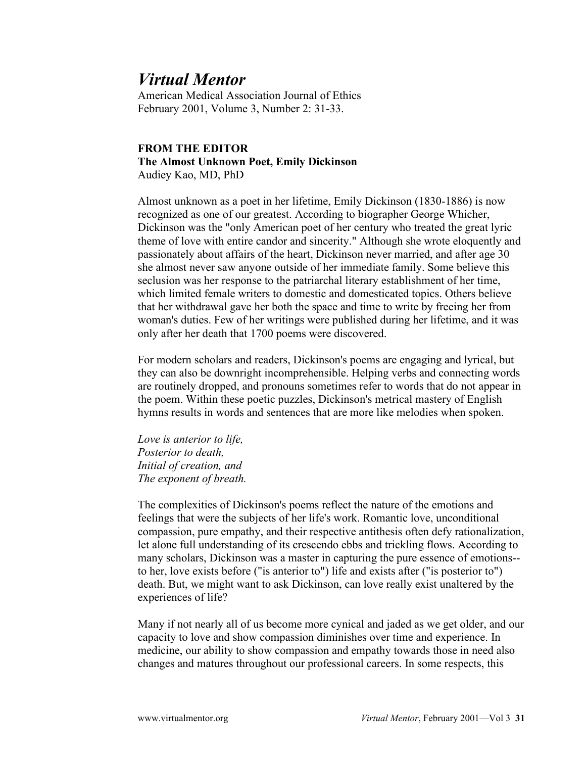American Medical Association Journal of Ethics February 2001, Volume 3, Number 2: 31-33.

#### **FROM THE EDITOR The Almost Unknown Poet, Emily Dickinson** Audiey Kao, MD, PhD

Almost unknown as a poet in her lifetime, Emily Dickinson (1830-1886) is now recognized as one of our greatest. According to biographer George Whicher, Dickinson was the "only American poet of her century who treated the great lyric theme of love with entire candor and sincerity." Although she wrote eloquently and passionately about affairs of the heart, Dickinson never married, and after age 30 she almost never saw anyone outside of her immediate family. Some believe this seclusion was her response to the patriarchal literary establishment of her time, which limited female writers to domestic and domesticated topics. Others believe that her withdrawal gave her both the space and time to write by freeing her from woman's duties. Few of her writings were published during her lifetime, and it was only after her death that 1700 poems were discovered.

For modern scholars and readers, Dickinson's poems are engaging and lyrical, but they can also be downright incomprehensible. Helping verbs and connecting words are routinely dropped, and pronouns sometimes refer to words that do not appear in the poem. Within these poetic puzzles, Dickinson's metrical mastery of English hymns results in words and sentences that are more like melodies when spoken.

*Love is anterior to life, Posterior to death, Initial of creation, and The exponent of breath.*

The complexities of Dickinson's poems reflect the nature of the emotions and feelings that were the subjects of her life's work. Romantic love, unconditional compassion, pure empathy, and their respective antithesis often defy rationalization, let alone full understanding of its crescendo ebbs and trickling flows. According to many scholars, Dickinson was a master in capturing the pure essence of emotions- to her, love exists before ("is anterior to") life and exists after ("is posterior to") death. But, we might want to ask Dickinson, can love really exist unaltered by the experiences of life?

Many if not nearly all of us become more cynical and jaded as we get older, and our capacity to love and show compassion diminishes over time and experience. In medicine, our ability to show compassion and empathy towards those in need also changes and matures throughout our professional careers. In some respects, this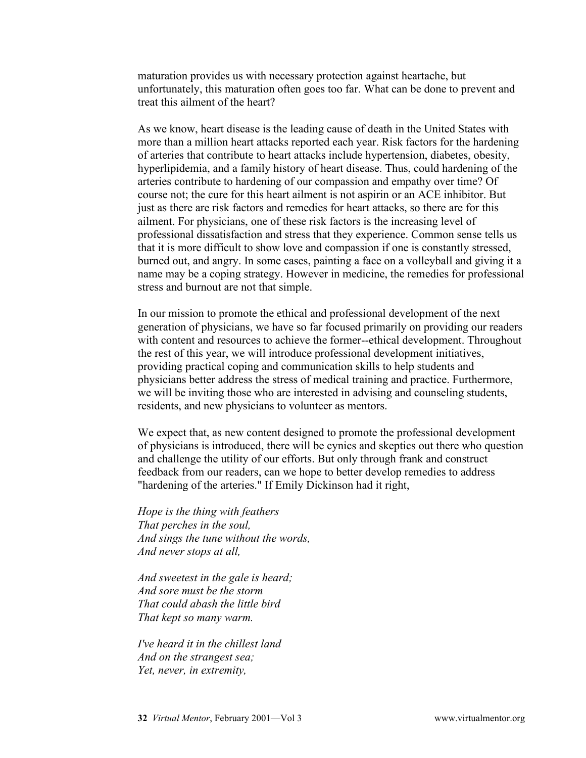maturation provides us with necessary protection against heartache, but unfortunately, this maturation often goes too far. What can be done to prevent and treat this ailment of the heart?

As we know, heart disease is the leading cause of death in the United States with more than a million heart attacks reported each year. Risk factors for the hardening of arteries that contribute to heart attacks include hypertension, diabetes, obesity, hyperlipidemia, and a family history of heart disease. Thus, could hardening of the arteries contribute to hardening of our compassion and empathy over time? Of course not; the cure for this heart ailment is not aspirin or an ACE inhibitor. But just as there are risk factors and remedies for heart attacks, so there are for this ailment. For physicians, one of these risk factors is the increasing level of professional dissatisfaction and stress that they experience. Common sense tells us that it is more difficult to show love and compassion if one is constantly stressed, burned out, and angry. In some cases, painting a face on a volleyball and giving it a name may be a coping strategy. However in medicine, the remedies for professional stress and burnout are not that simple.

In our mission to promote the ethical and professional development of the next generation of physicians, we have so far focused primarily on providing our readers with content and resources to achieve the former--ethical development. Throughout the rest of this year, we will introduce professional development initiatives, providing practical coping and communication skills to help students and physicians better address the stress of medical training and practice. Furthermore, we will be inviting those who are interested in advising and counseling students, residents, and new physicians to volunteer as mentors.

We expect that, as new content designed to promote the professional development of physicians is introduced, there will be cynics and skeptics out there who question and challenge the utility of our efforts. But only through frank and construct feedback from our readers, can we hope to better develop remedies to address "hardening of the arteries." If Emily Dickinson had it right,

*Hope is the thing with feathers That perches in the soul, And sings the tune without the words, And never stops at all,*

*And sweetest in the gale is heard; And sore must be the storm That could abash the little bird That kept so many warm.*

*I've heard it in the chillest land And on the strangest sea; Yet, never, in extremity,*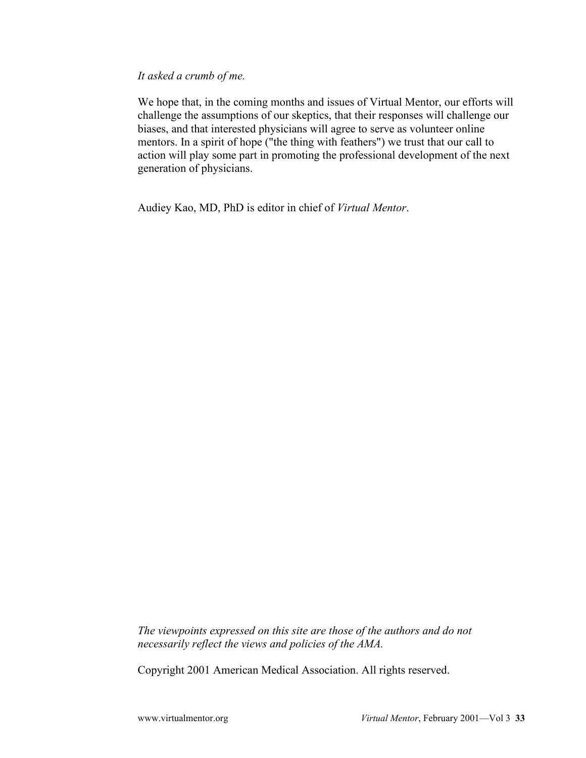#### *It asked a crumb of me.*

We hope that, in the coming months and issues of Virtual Mentor, our efforts will challenge the assumptions of our skeptics, that their responses will challenge our biases, and that interested physicians will agree to serve as volunteer online mentors. In a spirit of hope ("the thing with feathers") we trust that our call to action will play some part in promoting the professional development of the next generation of physicians.

Audiey Kao, MD, PhD is editor in chief of *Virtual Mentor*.

*The viewpoints expressed on this site are those of the authors and do not necessarily reflect the views and policies of the AMA.*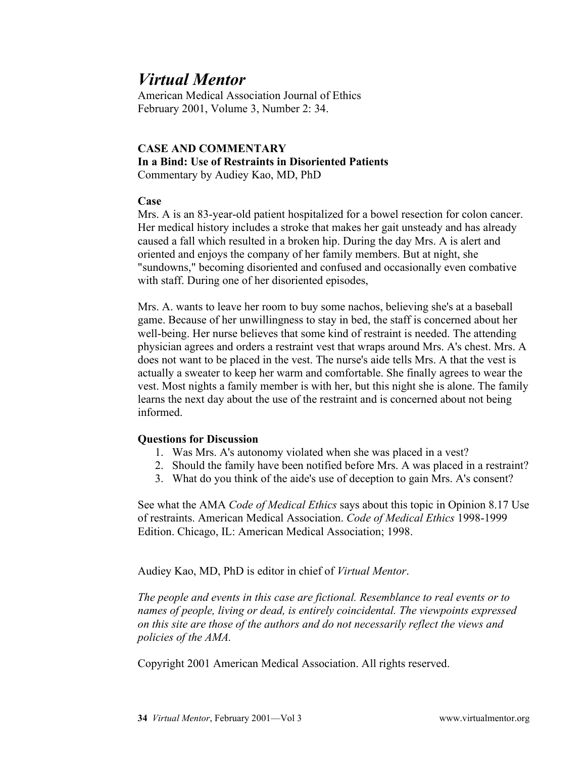American Medical Association Journal of Ethics February 2001, Volume 3, Number 2: 34.

#### **CASE AND COMMENTARY In a Bind: Use of Restraints in Disoriented Patients** Commentary by Audiey Kao, MD, PhD

#### **Case**

Mrs. A is an 83-year-old patient hospitalized for a bowel resection for colon cancer. Her medical history includes a stroke that makes her gait unsteady and has already caused a fall which resulted in a broken hip. During the day Mrs. A is alert and oriented and enjoys the company of her family members. But at night, she "sundowns," becoming disoriented and confused and occasionally even combative with staff. During one of her disoriented episodes,

Mrs. A. wants to leave her room to buy some nachos, believing she's at a baseball game. Because of her unwillingness to stay in bed, the staff is concerned about her well-being. Her nurse believes that some kind of restraint is needed. The attending physician agrees and orders a restraint vest that wraps around Mrs. A's chest. Mrs. A does not want to be placed in the vest. The nurse's aide tells Mrs. A that the vest is actually a sweater to keep her warm and comfortable. She finally agrees to wear the vest. Most nights a family member is with her, but this night she is alone. The family learns the next day about the use of the restraint and is concerned about not being informed.

### **Questions for Discussion**

- 1. Was Mrs. A's autonomy violated when she was placed in a vest?
- 2. Should the family have been notified before Mrs. A was placed in a restraint?
- 3. What do you think of the aide's use of deception to gain Mrs. A's consent?

See what the AMA *Code of Medical Ethics* says about this topic in Opinion 8.17 Use of restraints. American Medical Association. *Code of Medical Ethics* 1998-1999 Edition. Chicago, IL: American Medical Association; 1998.

Audiey Kao, MD, PhD is editor in chief of *Virtual Mentor*.

*The people and events in this case are fictional. Resemblance to real events or to names of people, living or dead, is entirely coincidental. The viewpoints expressed on this site are those of the authors and do not necessarily reflect the views and policies of the AMA.*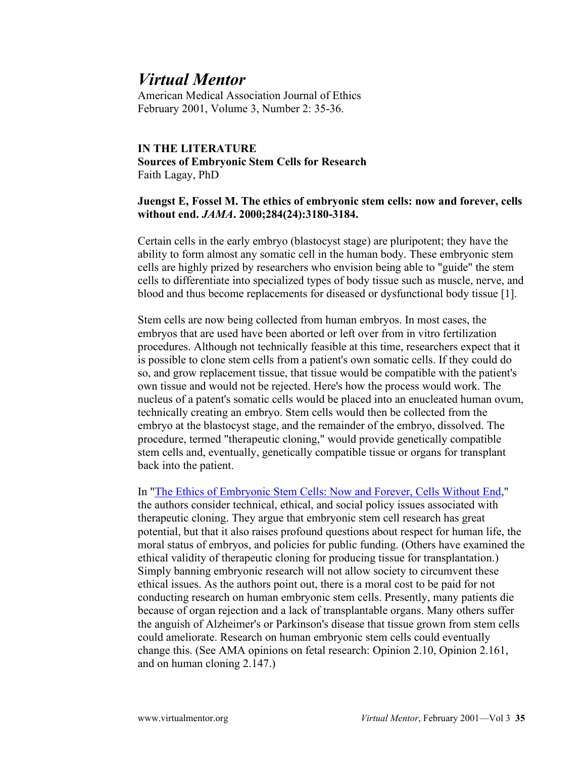American Medical Association Journal of Ethics February 2001, Volume 3, Number 2: 35-36.

### **IN THE LITERATURE Sources of Embryonic Stem Cells for Research** Faith Lagay, PhD

#### **Juengst E, Fossel M. The ethics of embryonic stem cells: now and forever, cells without end.** *JAMA***. 2000;284(24):3180-3184.**

Certain cells in the early embryo (blastocyst stage) are pluripotent; they have the ability to form almost any somatic cell in the human body. These embryonic stem cells are highly prized by researchers who envision being able to "guide" the stem cells to differentiate into specialized types of body tissue such as muscle, nerve, and blood and thus become replacements for diseased or dysfunctional body tissue [1].

Stem cells are now being collected from human embryos. In most cases, the embryos that are used have been aborted or left over from in vitro fertilization procedures. Although not technically feasible at this time, researchers expect that it is possible to clone stem cells from a patient's own somatic cells. If they could do so, and grow replacement tissue, that tissue would be compatible with the patient's own tissue and would not be rejected. Here's how the process would work. The nucleus of a patent's somatic cells would be placed into an enucleated human ovum, technically creating an embryo. Stem cells would then be collected from the embryo at the blastocyst stage, and the remainder of the embryo, dissolved. The procedure, termed "therapeutic cloning," would provide genetically compatible stem cells and, eventually, genetically compatible tissue or organs for transplant back into the patient.

In ["The Ethics of Embryonic Stem Cells: Now and Forever, Cells Without End,](https://jamanetwork.com/journals/jama/fullarticle/193395)" the authors consider technical, ethical, and social policy issues associated with therapeutic cloning. They argue that embryonic stem cell research has great potential, but that it also raises profound questions about respect for human life, the moral status of embryos, and policies for public funding. (Others have examined the ethical validity of therapeutic cloning for producing tissue for transplantation.) Simply banning embryonic research will not allow society to circumvent these ethical issues. As the authors point out, there is a moral cost to be paid for not conducting research on human embryonic stem cells. Presently, many patients die because of organ rejection and a lack of transplantable organs. Many others suffer the anguish of Alzheimer's or Parkinson's disease that tissue grown from stem cells could ameliorate. Research on human embryonic stem cells could eventually change this. (See AMA opinions on fetal research: Opinion 2.10, Opinion 2.161, and on human cloning 2.147.)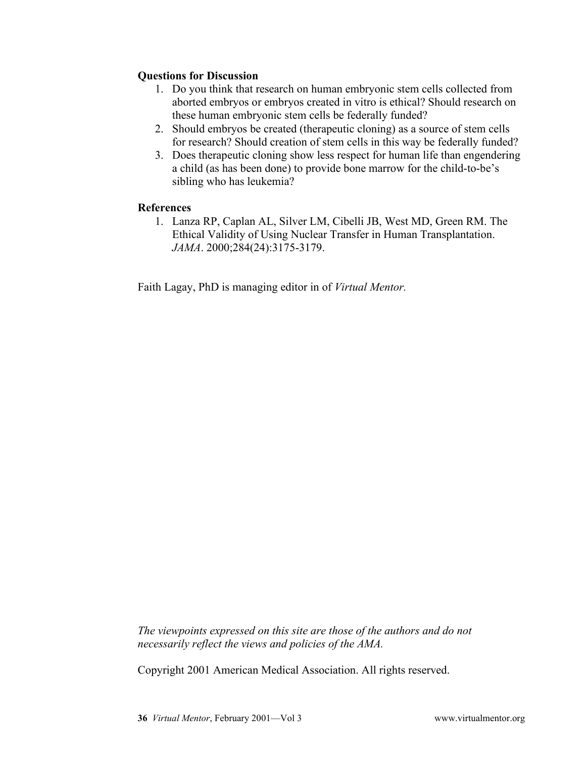### **Questions for Discussion**

- 1. Do you think that research on human embryonic stem cells collected from aborted embryos or embryos created in vitro is ethical? Should research on these human embryonic stem cells be federally funded?
- 2. Should embryos be created (therapeutic cloning) as a source of stem cells for research? Should creation of stem cells in this way be federally funded?
- 3. Does therapeutic cloning show less respect for human life than engendering a child (as has been done) to provide bone marrow for the child-to-be's sibling who has leukemia?

### **References**

1. Lanza RP, Caplan AL, Silver LM, Cibelli JB, West MD, Green RM. The Ethical Validity of Using Nuclear Transfer in Human Transplantation. *JAMA*. 2000;284(24):3175-3179.

Faith Lagay, PhD is managing editor in of *Virtual Mentor.*

*The viewpoints expressed on this site are those of the authors and do not necessarily reflect the views and policies of the AMA.*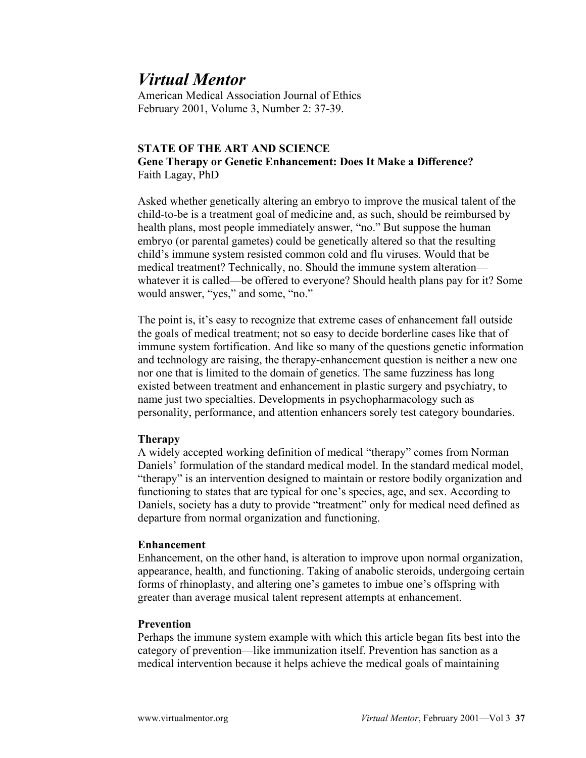American Medical Association Journal of Ethics February 2001, Volume 3, Number 2: 37-39.

### **STATE OF THE ART AND SCIENCE Gene Therapy or Genetic Enhancement: Does It Make a Difference?** Faith Lagay, PhD

Asked whether genetically altering an embryo to improve the musical talent of the child-to-be is a treatment goal of medicine and, as such, should be reimbursed by health plans, most people immediately answer, "no." But suppose the human embryo (or parental gametes) could be genetically altered so that the resulting child's immune system resisted common cold and flu viruses. Would that be medical treatment? Technically, no. Should the immune system alteration whatever it is called—be offered to everyone? Should health plans pay for it? Some would answer, "yes," and some, "no."

The point is, it's easy to recognize that extreme cases of enhancement fall outside the goals of medical treatment; not so easy to decide borderline cases like that of immune system fortification. And like so many of the questions genetic information and technology are raising, the therapy-enhancement question is neither a new one nor one that is limited to the domain of genetics. The same fuzziness has long existed between treatment and enhancement in plastic surgery and psychiatry, to name just two specialties. Developments in psychopharmacology such as personality, performance, and attention enhancers sorely test category boundaries.

#### **Therapy**

A widely accepted working definition of medical "therapy" comes from Norman Daniels' formulation of the standard medical model. In the standard medical model, "therapy" is an intervention designed to maintain or restore bodily organization and functioning to states that are typical for one's species, age, and sex. According to Daniels, society has a duty to provide "treatment" only for medical need defined as departure from normal organization and functioning.

#### **Enhancement**

Enhancement, on the other hand, is alteration to improve upon normal organization, appearance, health, and functioning. Taking of anabolic steroids, undergoing certain forms of rhinoplasty, and altering one's gametes to imbue one's offspring with greater than average musical talent represent attempts at enhancement.

#### **Prevention**

Perhaps the immune system example with which this article began fits best into the category of prevention—like immunization itself. Prevention has sanction as a medical intervention because it helps achieve the medical goals of maintaining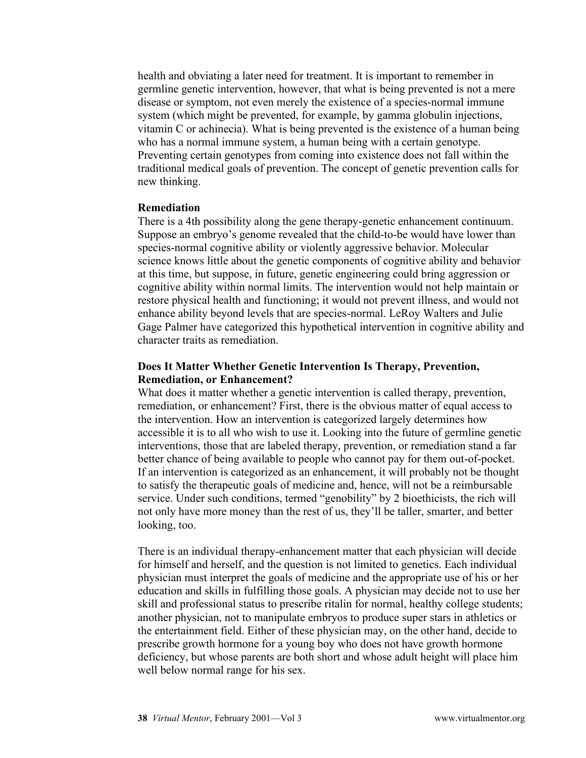health and obviating a later need for treatment. It is important to remember in germline genetic intervention, however, that what is being prevented is not a mere disease or symptom, not even merely the existence of a species-normal immune system (which might be prevented, for example, by gamma globulin injections, vitamin C or achinecia). What is being prevented is the existence of a human being who has a normal immune system, a human being with a certain genotype. Preventing certain genotypes from coming into existence does not fall within the traditional medical goals of prevention. The concept of genetic prevention calls for new thinking.

#### **Remediation**

There is a 4th possibility along the gene therapy-genetic enhancement continuum. Suppose an embryo's genome revealed that the child-to-be would have lower than species-normal cognitive ability or violently aggressive behavior. Molecular science knows little about the genetic components of cognitive ability and behavior at this time, but suppose, in future, genetic engineering could bring aggression or cognitive ability within normal limits. The intervention would not help maintain or restore physical health and functioning; it would not prevent illness, and would not enhance ability beyond levels that are species-normal. LeRoy Walters and Julie Gage Palmer have categorized this hypothetical intervention in cognitive ability and character traits as remediation.

#### **Does It Matter Whether Genetic Intervention Is Therapy, Prevention, Remediation, or Enhancement?**

What does it matter whether a genetic intervention is called therapy, prevention, remediation, or enhancement? First, there is the obvious matter of equal access to the intervention. How an intervention is categorized largely determines how accessible it is to all who wish to use it. Looking into the future of germline genetic interventions, those that are labeled therapy, prevention, or remediation stand a far better chance of being available to people who cannot pay for them out-of-pocket. If an intervention is categorized as an enhancement, it will probably not be thought to satisfy the therapeutic goals of medicine and, hence, will not be a reimbursable service. Under such conditions, termed "genobility" by 2 bioethicists, the rich will not only have more money than the rest of us, they'll be taller, smarter, and better looking, too.

There is an individual therapy-enhancement matter that each physician will decide for himself and herself, and the question is not limited to genetics. Each individual physician must interpret the goals of medicine and the appropriate use of his or her education and skills in fulfilling those goals. A physician may decide not to use her skill and professional status to prescribe ritalin for normal, healthy college students; another physician, not to manipulate embryos to produce super stars in athletics or the entertainment field. Either of these physician may, on the other hand, decide to prescribe growth hormone for a young boy who does not have growth hormone deficiency, but whose parents are both short and whose adult height will place him well below normal range for his sex.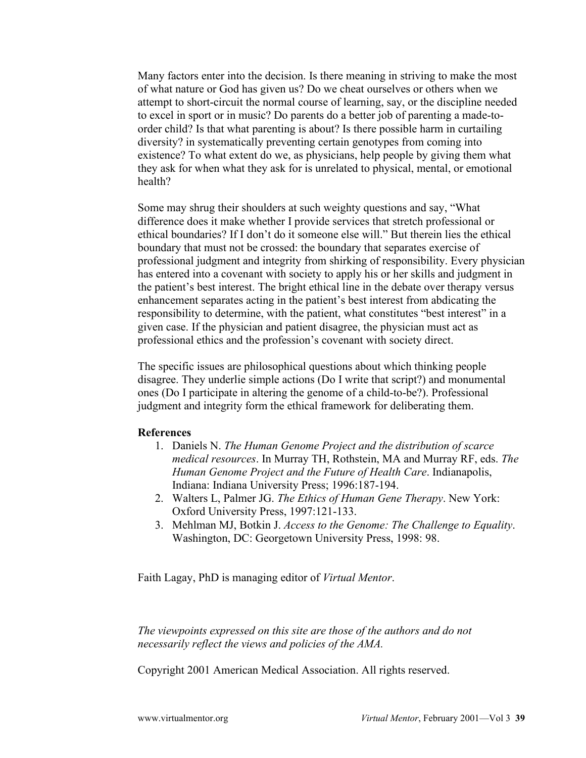Many factors enter into the decision. Is there meaning in striving to make the most of what nature or God has given us? Do we cheat ourselves or others when we attempt to short-circuit the normal course of learning, say, or the discipline needed to excel in sport or in music? Do parents do a better job of parenting a made-toorder child? Is that what parenting is about? Is there possible harm in curtailing diversity? in systematically preventing certain genotypes from coming into existence? To what extent do we, as physicians, help people by giving them what they ask for when what they ask for is unrelated to physical, mental, or emotional health?

Some may shrug their shoulders at such weighty questions and say, "What difference does it make whether I provide services that stretch professional or ethical boundaries? If I don't do it someone else will." But therein lies the ethical boundary that must not be crossed: the boundary that separates exercise of professional judgment and integrity from shirking of responsibility. Every physician has entered into a covenant with society to apply his or her skills and judgment in the patient's best interest. The bright ethical line in the debate over therapy versus enhancement separates acting in the patient's best interest from abdicating the responsibility to determine, with the patient, what constitutes "best interest" in a given case. If the physician and patient disagree, the physician must act as professional ethics and the profession's covenant with society direct.

The specific issues are philosophical questions about which thinking people disagree. They underlie simple actions (Do I write that script?) and monumental ones (Do I participate in altering the genome of a child-to-be?). Professional judgment and integrity form the ethical framework for deliberating them.

#### **References**

- 1. Daniels N. *The Human Genome Project and the distribution of scarce medical resources*. In Murray TH, Rothstein, MA and Murray RF, eds. *The Human Genome Project and the Future of Health Care*. Indianapolis, Indiana: Indiana University Press; 1996:187-194.
- 2. Walters L, Palmer JG. *The Ethics of Human Gene Therapy*. New York: Oxford University Press, 1997:121-133.
- 3. Mehlman MJ, Botkin J. *Access to the Genome: The Challenge to Equality*. Washington, DC: Georgetown University Press, 1998: 98.

Faith Lagay, PhD is managing editor of *Virtual Mentor*.

*The viewpoints expressed on this site are those of the authors and do not necessarily reflect the views and policies of the AMA.*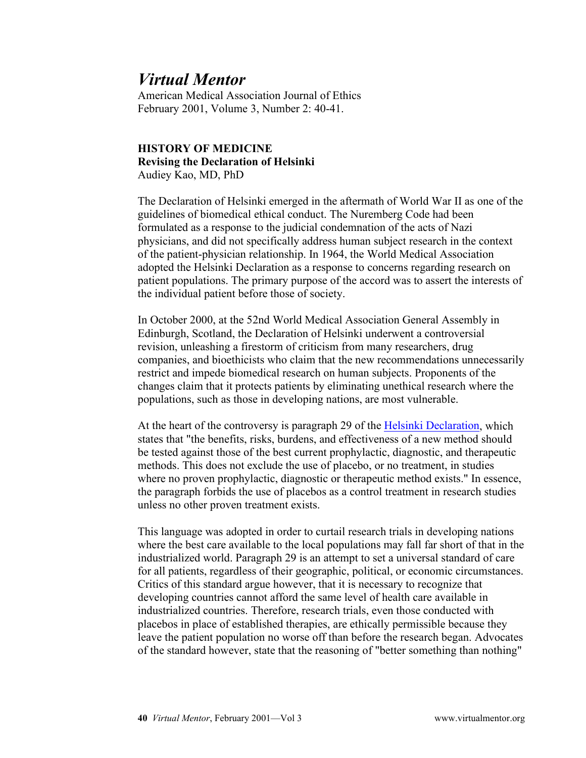American Medical Association Journal of Ethics February 2001, Volume 3, Number 2: 40-41.

#### **HISTORY OF MEDICINE Revising the Declaration of Helsinki** Audiey Kao, MD, PhD

The Declaration of Helsinki emerged in the aftermath of World War II as one of the guidelines of biomedical ethical conduct. The Nuremberg Code had been formulated as a response to the judicial condemnation of the acts of Nazi physicians, and did not specifically address human subject research in the context of the patient-physician relationship. In 1964, the World Medical Association adopted the Helsinki Declaration as a response to concerns regarding research on patient populations. The primary purpose of the accord was to assert the interests of the individual patient before those of society.

In October 2000, at the 52nd World Medical Association General Assembly in Edinburgh, Scotland, the Declaration of Helsinki underwent a controversial revision, unleashing a firestorm of criticism from many researchers, drug companies, and bioethicists who claim that the new recommendations unnecessarily restrict and impede biomedical research on human subjects. Proponents of the changes claim that it protects patients by eliminating unethical research where the populations, such as those in developing nations, are most vulnerable.

At the heart of the controversy is paragraph 29 of the [Helsinki Declaration,](http://www.wma.net/e/policy/b3.htm) which states that "the benefits, risks, burdens, and effectiveness of a new method should be tested against those of the best current prophylactic, diagnostic, and therapeutic methods. This does not exclude the use of placebo, or no treatment, in studies where no proven prophylactic, diagnostic or therapeutic method exists." In essence, the paragraph forbids the use of placebos as a control treatment in research studies unless no other proven treatment exists.

This language was adopted in order to curtail research trials in developing nations where the best care available to the local populations may fall far short of that in the industrialized world. Paragraph 29 is an attempt to set a universal standard of care for all patients, regardless of their geographic, political, or economic circumstances. Critics of this standard argue however, that it is necessary to recognize that developing countries cannot afford the same level of health care available in industrialized countries. Therefore, research trials, even those conducted with placebos in place of established therapies, are ethically permissible because they leave the patient population no worse off than before the research began. Advocates of the standard however, state that the reasoning of "better something than nothing"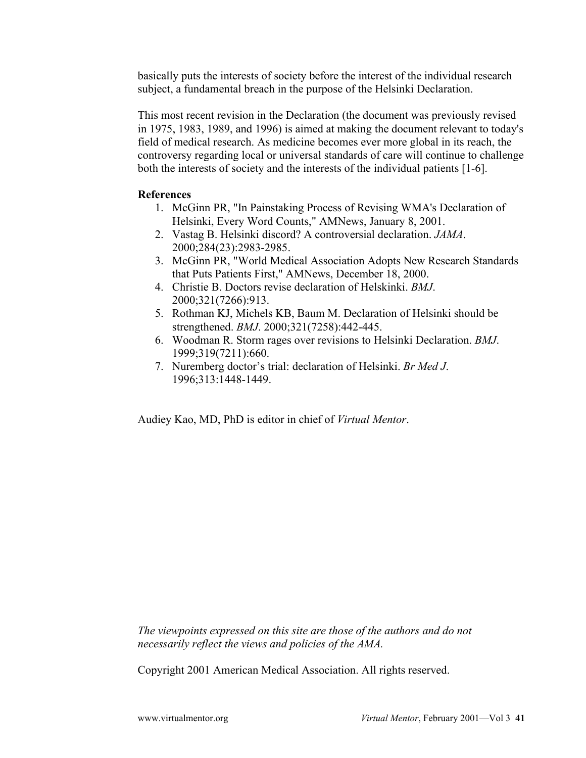basically puts the interests of society before the interest of the individual research subject, a fundamental breach in the purpose of the Helsinki Declaration.

This most recent revision in the Declaration (the document was previously revised in 1975, 1983, 1989, and 1996) is aimed at making the document relevant to today's field of medical research. As medicine becomes ever more global in its reach, the controversy regarding local or universal standards of care will continue to challenge both the interests of society and the interests of the individual patients [1-6].

#### **References**

- 1. McGinn PR, "In Painstaking Process of Revising WMA's Declaration of Helsinki, Every Word Counts," AMNews, January 8, 2001.
- 2. Vastag B. Helsinki discord? A controversial declaration. *JAMA*. 2000;284(23):2983-2985.
- 3. McGinn PR, "World Medical Association Adopts New Research Standards that Puts Patients First," AMNews, December 18, 2000.
- 4. Christie B. Doctors revise declaration of Helskinki. *BMJ*. 2000;321(7266):913.
- 5. Rothman KJ, Michels KB, Baum M. Declaration of Helsinki should be strengthened. *BMJ*. 2000;321(7258):442-445.
- 6. Woodman R. Storm rages over revisions to Helsinki Declaration. *BMJ*. 1999;319(7211):660.
- 7. Nuremberg doctor's trial: declaration of Helsinki. *Br Med J*. 1996;313:1448-1449.

Audiey Kao, MD, PhD is editor in chief of *Virtual Mentor*.

*The viewpoints expressed on this site are those of the authors and do not necessarily reflect the views and policies of the AMA.*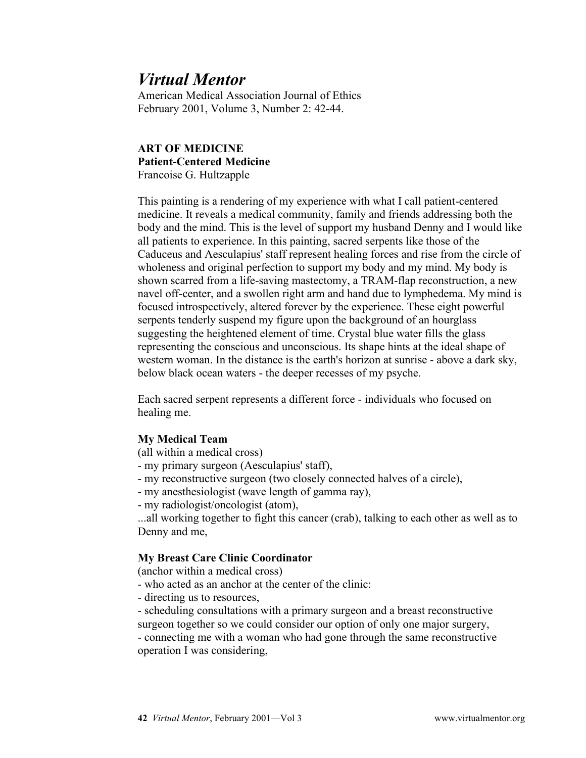American Medical Association Journal of Ethics February 2001, Volume 3, Number 2: 42-44.

#### **ART OF MEDICINE Patient-Centered Medicine** Francoise G. Hultzapple

This painting is a rendering of my experience with what I call patient-centered medicine. It reveals a medical community, family and friends addressing both the body and the mind. This is the level of support my husband Denny and I would like all patients to experience. In this painting, sacred serpents like those of the Caduceus and Aesculapius' staff represent healing forces and rise from the circle of wholeness and original perfection to support my body and my mind. My body is shown scarred from a life-saving mastectomy, a TRAM-flap reconstruction, a new navel off-center, and a swollen right arm and hand due to lymphedema. My mind is focused introspectively, altered forever by the experience. These eight powerful serpents tenderly suspend my figure upon the background of an hourglass suggesting the heightened element of time. Crystal blue water fills the glass representing the conscious and unconscious. Its shape hints at the ideal shape of western woman. In the distance is the earth's horizon at sunrise - above a dark sky, below black ocean waters - the deeper recesses of my psyche.

Each sacred serpent represents a different force - individuals who focused on healing me.

#### **My Medical Team**

(all within a medical cross)

- my primary surgeon (Aesculapius' staff),
- my reconstructive surgeon (two closely connected halves of a circle),
- my anesthesiologist (wave length of gamma ray),
- my radiologist/oncologist (atom),

...all working together to fight this cancer (crab), talking to each other as well as to Denny and me,

### **My Breast Care Clinic Coordinator**

(anchor within a medical cross)

- who acted as an anchor at the center of the clinic:
- directing us to resources,
- scheduling consultations with a primary surgeon and a breast reconstructive surgeon together so we could consider our option of only one major surgery,

- connecting me with a woman who had gone through the same reconstructive operation I was considering,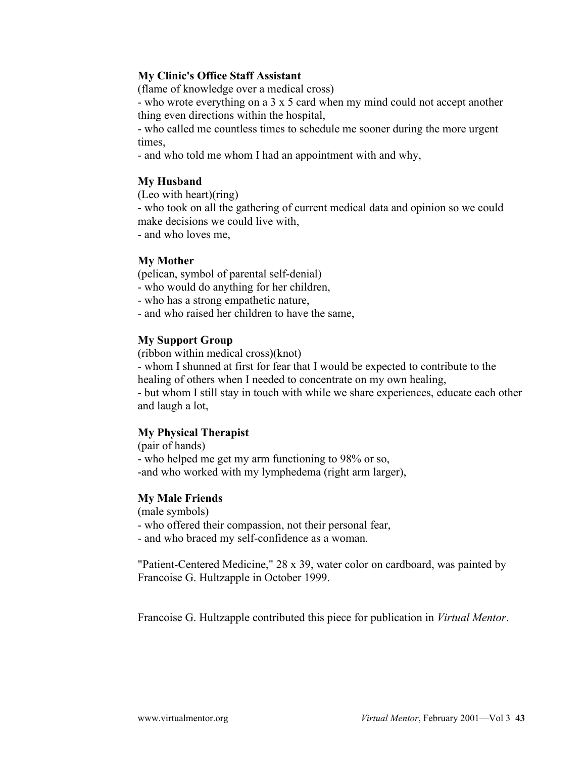#### **My Clinic's Office Staff Assistant**

(flame of knowledge over a medical cross)

- who wrote everything on a 3 x 5 card when my mind could not accept another thing even directions within the hospital,

- who called me countless times to schedule me sooner during the more urgent times,

- and who told me whom I had an appointment with and why,

### **My Husband**

(Leo with heart)(ring)

- who took on all the gathering of current medical data and opinion so we could make decisions we could live with,

- and who loves me,

#### **My Mother**

(pelican, symbol of parental self-denial)

- who would do anything for her children,
- who has a strong empathetic nature,
- and who raised her children to have the same,

#### **My Support Group**

(ribbon within medical cross)(knot)

- whom I shunned at first for fear that I would be expected to contribute to the healing of others when I needed to concentrate on my own healing,

- but whom I still stay in touch with while we share experiences, educate each other and laugh a lot,

### **My Physical Therapist**

(pair of hands) - who helped me get my arm functioning to 98% or so, -and who worked with my lymphedema (right arm larger),

#### **My Male Friends**

(male symbols)

- who offered their compassion, not their personal fear,

- and who braced my self-confidence as a woman.

"Patient-Centered Medicine," 28 x 39, water color on cardboard, was painted by Francoise G. Hultzapple in October 1999.

Francoise G. Hultzapple contributed this piece for publication in *Virtual Mentor*.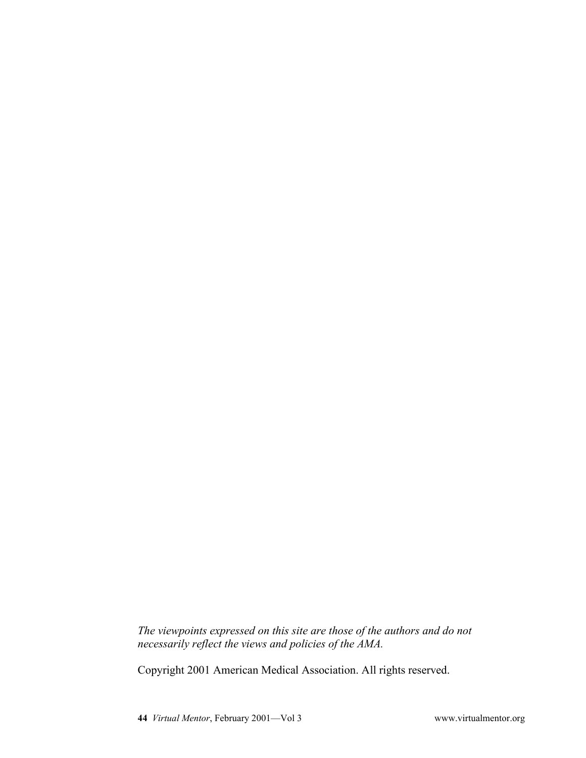*The viewpoints expressed on this site are those of the authors and do not necessarily reflect the views and policies of the AMA.*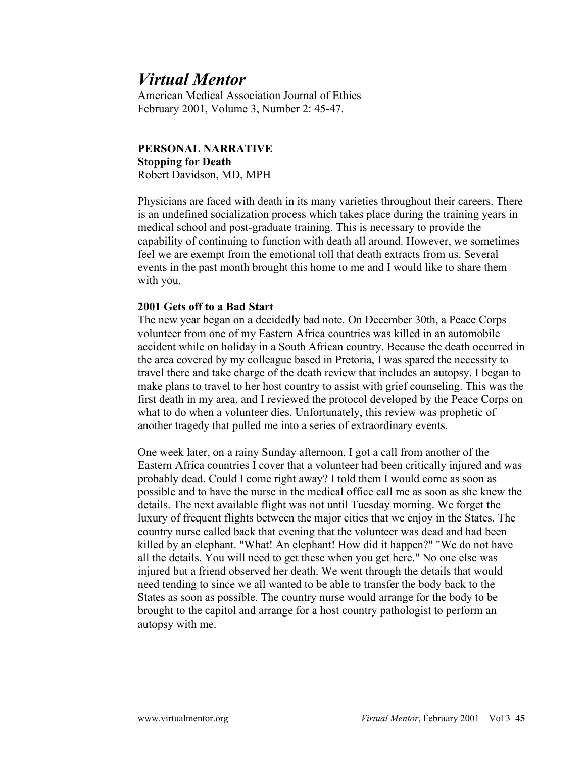American Medical Association Journal of Ethics February 2001, Volume 3, Number 2: 45-47.

#### **PERSONAL NARRATIVE Stopping for Death** Robert Davidson, MD, MPH

Physicians are faced with death in its many varieties throughout their careers. There is an undefined socialization process which takes place during the training years in medical school and post-graduate training. This is necessary to provide the capability of continuing to function with death all around. However, we sometimes feel we are exempt from the emotional toll that death extracts from us. Several events in the past month brought this home to me and I would like to share them with you.

#### **2001 Gets off to a Bad Start**

The new year began on a decidedly bad note. On December 30th, a Peace Corps volunteer from one of my Eastern Africa countries was killed in an automobile accident while on holiday in a South African country. Because the death occurred in the area covered by my colleague based in Pretoria, I was spared the necessity to travel there and take charge of the death review that includes an autopsy. I began to make plans to travel to her host country to assist with grief counseling. This was the first death in my area, and I reviewed the protocol developed by the Peace Corps on what to do when a volunteer dies. Unfortunately, this review was prophetic of another tragedy that pulled me into a series of extraordinary events.

One week later, on a rainy Sunday afternoon, I got a call from another of the Eastern Africa countries I cover that a volunteer had been critically injured and was probably dead. Could I come right away? I told them I would come as soon as possible and to have the nurse in the medical office call me as soon as she knew the details. The next available flight was not until Tuesday morning. We forget the luxury of frequent flights between the major cities that we enjoy in the States. The country nurse called back that evening that the volunteer was dead and had been killed by an elephant. "What! An elephant! How did it happen?" "We do not have all the details. You will need to get these when you get here." No one else was injured but a friend observed her death. We went through the details that would need tending to since we all wanted to be able to transfer the body back to the States as soon as possible. The country nurse would arrange for the body to be brought to the capitol and arrange for a host country pathologist to perform an autopsy with me.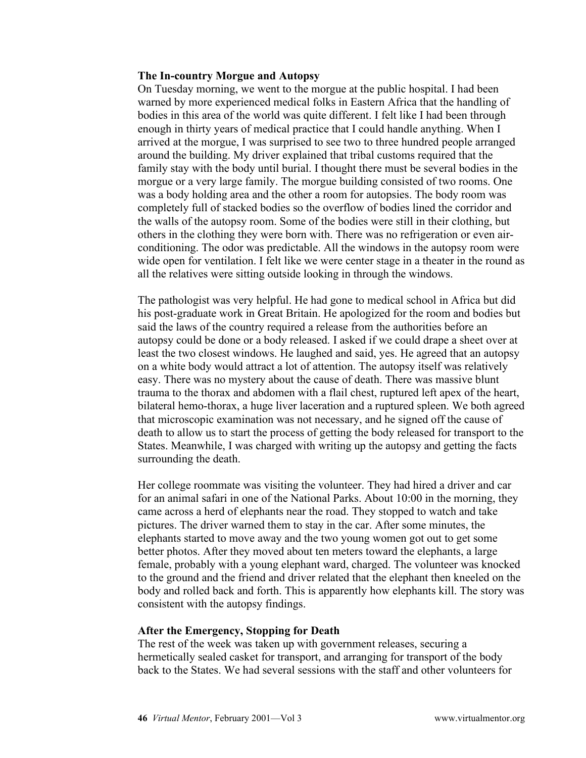#### **The In-country Morgue and Autopsy**

On Tuesday morning, we went to the morgue at the public hospital. I had been warned by more experienced medical folks in Eastern Africa that the handling of bodies in this area of the world was quite different. I felt like I had been through enough in thirty years of medical practice that I could handle anything. When I arrived at the morgue, I was surprised to see two to three hundred people arranged around the building. My driver explained that tribal customs required that the family stay with the body until burial. I thought there must be several bodies in the morgue or a very large family. The morgue building consisted of two rooms. One was a body holding area and the other a room for autopsies. The body room was completely full of stacked bodies so the overflow of bodies lined the corridor and the walls of the autopsy room. Some of the bodies were still in their clothing, but others in the clothing they were born with. There was no refrigeration or even airconditioning. The odor was predictable. All the windows in the autopsy room were wide open for ventilation. I felt like we were center stage in a theater in the round as all the relatives were sitting outside looking in through the windows.

The pathologist was very helpful. He had gone to medical school in Africa but did his post-graduate work in Great Britain. He apologized for the room and bodies but said the laws of the country required a release from the authorities before an autopsy could be done or a body released. I asked if we could drape a sheet over at least the two closest windows. He laughed and said, yes. He agreed that an autopsy on a white body would attract a lot of attention. The autopsy itself was relatively easy. There was no mystery about the cause of death. There was massive blunt trauma to the thorax and abdomen with a flail chest, ruptured left apex of the heart, bilateral hemo-thorax, a huge liver laceration and a ruptured spleen. We both agreed that microscopic examination was not necessary, and he signed off the cause of death to allow us to start the process of getting the body released for transport to the States. Meanwhile, I was charged with writing up the autopsy and getting the facts surrounding the death.

Her college roommate was visiting the volunteer. They had hired a driver and car for an animal safari in one of the National Parks. About 10:00 in the morning, they came across a herd of elephants near the road. They stopped to watch and take pictures. The driver warned them to stay in the car. After some minutes, the elephants started to move away and the two young women got out to get some better photos. After they moved about ten meters toward the elephants, a large female, probably with a young elephant ward, charged. The volunteer was knocked to the ground and the friend and driver related that the elephant then kneeled on the body and rolled back and forth. This is apparently how elephants kill. The story was consistent with the autopsy findings.

#### **After the Emergency, Stopping for Death**

The rest of the week was taken up with government releases, securing a hermetically sealed casket for transport, and arranging for transport of the body back to the States. We had several sessions with the staff and other volunteers for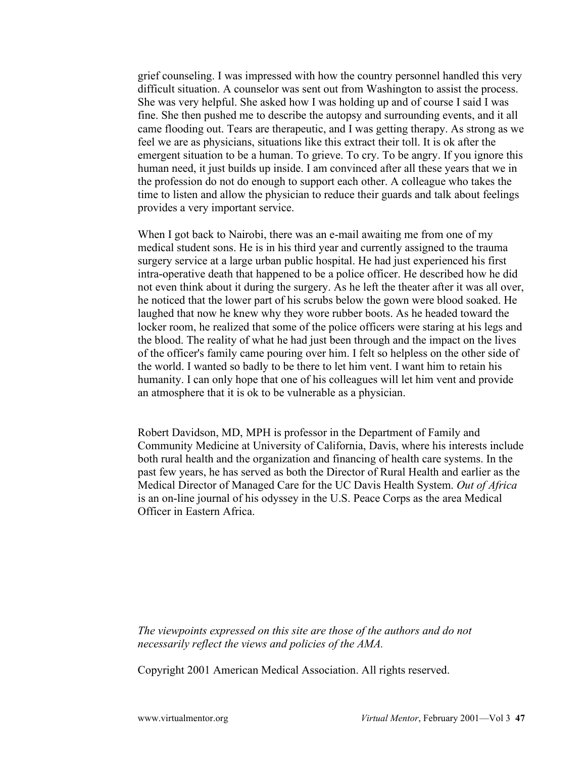grief counseling. I was impressed with how the country personnel handled this very difficult situation. A counselor was sent out from Washington to assist the process. She was very helpful. She asked how I was holding up and of course I said I was fine. She then pushed me to describe the autopsy and surrounding events, and it all came flooding out. Tears are therapeutic, and I was getting therapy. As strong as we feel we are as physicians, situations like this extract their toll. It is ok after the emergent situation to be a human. To grieve. To cry. To be angry. If you ignore this human need, it just builds up inside. I am convinced after all these years that we in the profession do not do enough to support each other. A colleague who takes the time to listen and allow the physician to reduce their guards and talk about feelings provides a very important service.

When I got back to Nairobi, there was an e-mail awaiting me from one of my medical student sons. He is in his third year and currently assigned to the trauma surgery service at a large urban public hospital. He had just experienced his first intra-operative death that happened to be a police officer. He described how he did not even think about it during the surgery. As he left the theater after it was all over, he noticed that the lower part of his scrubs below the gown were blood soaked. He laughed that now he knew why they wore rubber boots. As he headed toward the locker room, he realized that some of the police officers were staring at his legs and the blood. The reality of what he had just been through and the impact on the lives of the officer's family came pouring over him. I felt so helpless on the other side of the world. I wanted so badly to be there to let him vent. I want him to retain his humanity. I can only hope that one of his colleagues will let him vent and provide an atmosphere that it is ok to be vulnerable as a physician.

Robert Davidson, MD, MPH is professor in the Department of Family and Community Medicine at University of California, Davis, where his interests include both rural health and the organization and financing of health care systems. In the past few years, he has served as both the Director of Rural Health and earlier as the Medical Director of Managed Care for the UC Davis Health System. *Out of Africa* is an on-line journal of his odyssey in the U.S. Peace Corps as the area Medical Officer in Eastern Africa.

*The viewpoints expressed on this site are those of the authors and do not necessarily reflect the views and policies of the AMA.*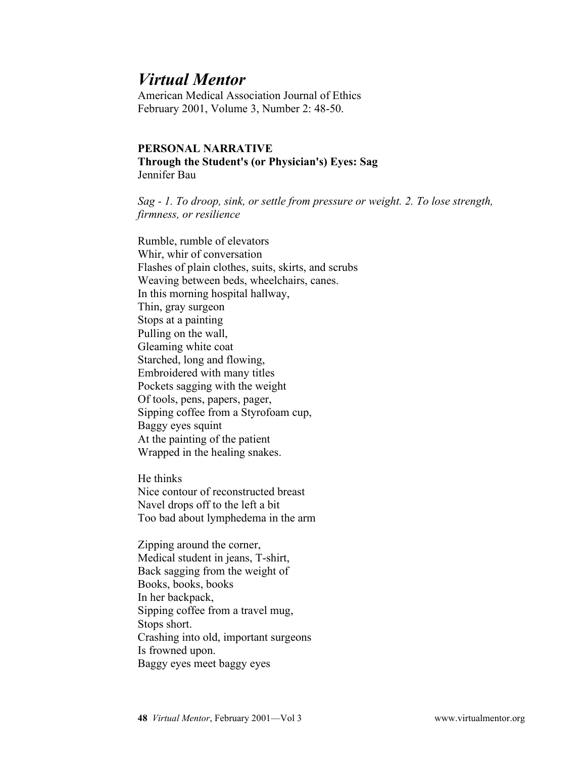American Medical Association Journal of Ethics February 2001, Volume 3, Number 2: 48-50.

#### **PERSONAL NARRATIVE Through the Student's (or Physician's) Eyes: Sag** Jennifer Bau

*Sag - 1. To droop, sink, or settle from pressure or weight. 2. To lose strength, firmness, or resilience* 

Rumble, rumble of elevators Whir, whir of conversation Flashes of plain clothes, suits, skirts, and scrubs Weaving between beds, wheelchairs, canes. In this morning hospital hallway, Thin, gray surgeon Stops at a painting Pulling on the wall, Gleaming white coat Starched, long and flowing, Embroidered with many titles Pockets sagging with the weight Of tools, pens, papers, pager, Sipping coffee from a Styrofoam cup, Baggy eyes squint At the painting of the patient Wrapped in the healing snakes.

He thinks Nice contour of reconstructed breast Navel drops off to the left a bit Too bad about lymphedema in the arm

Zipping around the corner, Medical student in jeans, T-shirt, Back sagging from the weight of Books, books, books In her backpack, Sipping coffee from a travel mug, Stops short. Crashing into old, important surgeons Is frowned upon. Baggy eyes meet baggy eyes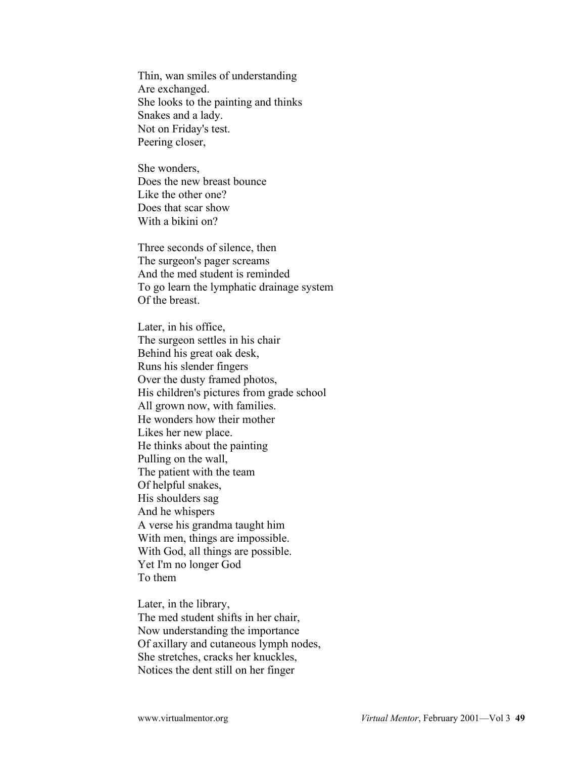Thin, wan smiles of understanding Are exchanged. She looks to the painting and thinks Snakes and a lady. Not on Friday's test. Peering closer,

She wonders, Does the new breast bounce Like the other one? Does that scar show With a bikini on?

Three seconds of silence, then The surgeon's pager screams And the med student is reminded To go learn the lymphatic drainage system Of the breast.

Later, in his office, The surgeon settles in his chair Behind his great oak desk, Runs his slender fingers Over the dusty framed photos, His children's pictures from grade school All grown now, with families. He wonders how their mother Likes her new place. He thinks about the painting Pulling on the wall, The patient with the team Of helpful snakes, His shoulders sag And he whispers A verse his grandma taught him With men, things are impossible. With God, all things are possible. Yet I'm no longer God To them

Later, in the library, The med student shifts in her chair, Now understanding the importance Of axillary and cutaneous lymph nodes, She stretches, cracks her knuckles, Notices the dent still on her finger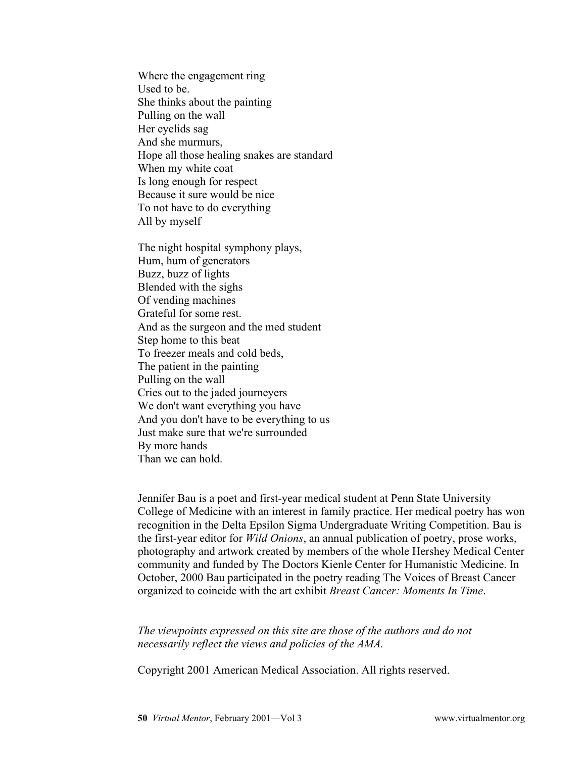Where the engagement ring Used to be. She thinks about the painting Pulling on the wall Her eyelids sag And she murmurs, Hope all those healing snakes are standard When my white coat Is long enough for respect Because it sure would be nice To not have to do everything All by myself

The night hospital symphony plays, Hum, hum of generators Buzz, buzz of lights Blended with the sighs Of vending machines Grateful for some rest. And as the surgeon and the med student Step home to this beat To freezer meals and cold beds, The patient in the painting Pulling on the wall Cries out to the jaded journeyers We don't want everything you have And you don't have to be everything to us Just make sure that we're surrounded By more hands Than we can hold.

Jennifer Bau is a poet and first-year medical student at Penn State University College of Medicine with an interest in family practice. Her medical poetry has won recognition in the Delta Epsilon Sigma Undergraduate Writing Competition. Bau is the first-year editor for *Wild Onions*, an annual publication of poetry, prose works, photography and artwork created by members of the whole Hershey Medical Center community and funded by The Doctors Kienle Center for Humanistic Medicine. In October, 2000 Bau participated in the poetry reading The Voices of Breast Cancer organized to coincide with the art exhibit *Breast Cancer: Moments In Time*.

*The viewpoints expressed on this site are those of the authors and do not necessarily reflect the views and policies of the AMA.*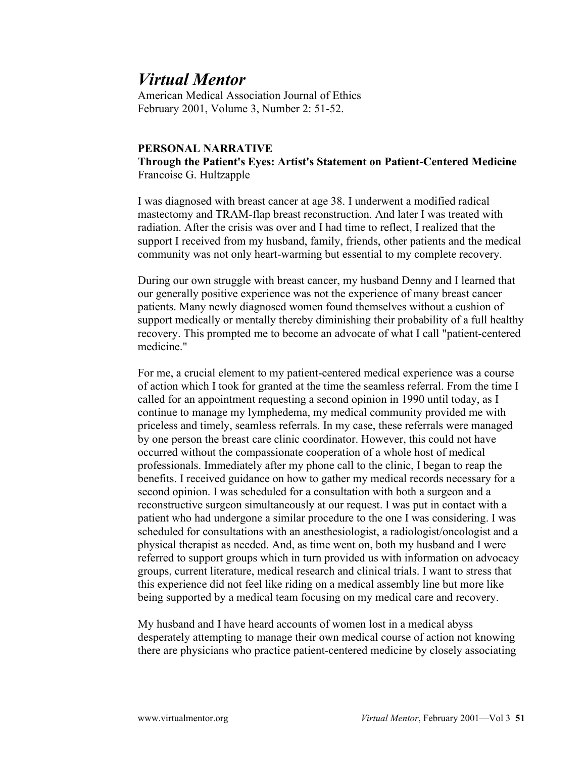American Medical Association Journal of Ethics February 2001, Volume 3, Number 2: 51-52.

#### **PERSONAL NARRATIVE Through the Patient's Eyes: Artist's Statement on Patient-Centered Medicine** Francoise G. Hultzapple

I was diagnosed with breast cancer at age 38. I underwent a modified radical mastectomy and TRAM-flap breast reconstruction. And later I was treated with radiation. After the crisis was over and I had time to reflect, I realized that the support I received from my husband, family, friends, other patients and the medical community was not only heart-warming but essential to my complete recovery.

During our own struggle with breast cancer, my husband Denny and I learned that our generally positive experience was not the experience of many breast cancer patients. Many newly diagnosed women found themselves without a cushion of support medically or mentally thereby diminishing their probability of a full healthy recovery. This prompted me to become an advocate of what I call "patient-centered medicine."

For me, a crucial element to my patient-centered medical experience was a course of action which I took for granted at the time the seamless referral. From the time I called for an appointment requesting a second opinion in 1990 until today, as I continue to manage my lymphedema, my medical community provided me with priceless and timely, seamless referrals. In my case, these referrals were managed by one person the breast care clinic coordinator. However, this could not have occurred without the compassionate cooperation of a whole host of medical professionals. Immediately after my phone call to the clinic, I began to reap the benefits. I received guidance on how to gather my medical records necessary for a second opinion. I was scheduled for a consultation with both a surgeon and a reconstructive surgeon simultaneously at our request. I was put in contact with a patient who had undergone a similar procedure to the one I was considering. I was scheduled for consultations with an anesthesiologist, a radiologist/oncologist and a physical therapist as needed. And, as time went on, both my husband and I were referred to support groups which in turn provided us with information on advocacy groups, current literature, medical research and clinical trials. I want to stress that this experience did not feel like riding on a medical assembly line but more like being supported by a medical team focusing on my medical care and recovery.

My husband and I have heard accounts of women lost in a medical abyss desperately attempting to manage their own medical course of action not knowing there are physicians who practice patient-centered medicine by closely associating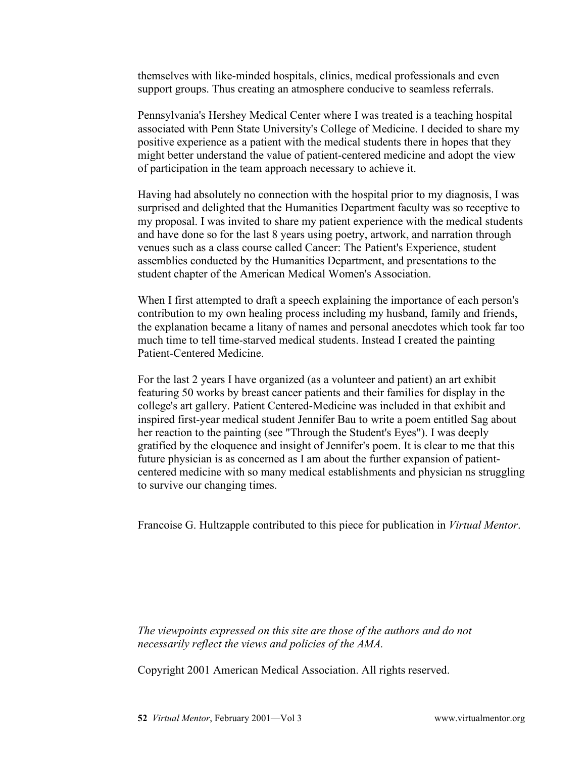themselves with like-minded hospitals, clinics, medical professionals and even support groups. Thus creating an atmosphere conducive to seamless referrals.

Pennsylvania's Hershey Medical Center where I was treated is a teaching hospital associated with Penn State University's College of Medicine. I decided to share my positive experience as a patient with the medical students there in hopes that they might better understand the value of patient-centered medicine and adopt the view of participation in the team approach necessary to achieve it.

Having had absolutely no connection with the hospital prior to my diagnosis, I was surprised and delighted that the Humanities Department faculty was so receptive to my proposal. I was invited to share my patient experience with the medical students and have done so for the last 8 years using poetry, artwork, and narration through venues such as a class course called Cancer: The Patient's Experience, student assemblies conducted by the Humanities Department, and presentations to the student chapter of the American Medical Women's Association.

When I first attempted to draft a speech explaining the importance of each person's contribution to my own healing process including my husband, family and friends, the explanation became a litany of names and personal anecdotes which took far too much time to tell time-starved medical students. Instead I created the painting Patient-Centered Medicine.

For the last 2 years I have organized (as a volunteer and patient) an art exhibit featuring 50 works by breast cancer patients and their families for display in the college's art gallery. Patient Centered-Medicine was included in that exhibit and inspired first-year medical student Jennifer Bau to write a poem entitled Sag about her reaction to the painting (see "Through the Student's Eyes"). I was deeply gratified by the eloquence and insight of Jennifer's poem. It is clear to me that this future physician is as concerned as I am about the further expansion of patientcentered medicine with so many medical establishments and physician ns struggling to survive our changing times.

Francoise G. Hultzapple contributed to this piece for publication in *Virtual Mentor*.

*The viewpoints expressed on this site are those of the authors and do not necessarily reflect the views and policies of the AMA.*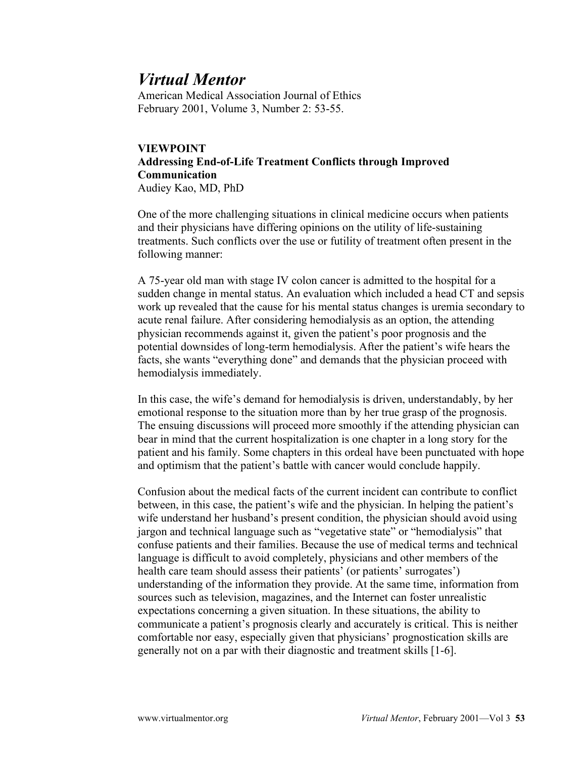American Medical Association Journal of Ethics February 2001, Volume 3, Number 2: 53-55.

#### **VIEWPOINT Addressing End-of-Life Treatment Conflicts through Improved Communication** Audiey Kao, MD, PhD

One of the more challenging situations in clinical medicine occurs when patients and their physicians have differing opinions on the utility of life-sustaining treatments. Such conflicts over the use or futility of treatment often present in the following manner:

A 75-year old man with stage IV colon cancer is admitted to the hospital for a sudden change in mental status. An evaluation which included a head CT and sepsis work up revealed that the cause for his mental status changes is uremia secondary to acute renal failure. After considering hemodialysis as an option, the attending physician recommends against it, given the patient's poor prognosis and the potential downsides of long-term hemodialysis. After the patient's wife hears the facts, she wants "everything done" and demands that the physician proceed with hemodialysis immediately.

In this case, the wife's demand for hemodialysis is driven, understandably, by her emotional response to the situation more than by her true grasp of the prognosis. The ensuing discussions will proceed more smoothly if the attending physician can bear in mind that the current hospitalization is one chapter in a long story for the patient and his family. Some chapters in this ordeal have been punctuated with hope and optimism that the patient's battle with cancer would conclude happily.

Confusion about the medical facts of the current incident can contribute to conflict between, in this case, the patient's wife and the physician. In helping the patient's wife understand her husband's present condition, the physician should avoid using jargon and technical language such as "vegetative state" or "hemodialysis" that confuse patients and their families. Because the use of medical terms and technical language is difficult to avoid completely, physicians and other members of the health care team should assess their patients' (or patients' surrogates') understanding of the information they provide. At the same time, information from sources such as television, magazines, and the Internet can foster unrealistic expectations concerning a given situation. In these situations, the ability to communicate a patient's prognosis clearly and accurately is critical. This is neither comfortable nor easy, especially given that physicians' prognostication skills are generally not on a par with their diagnostic and treatment skills [1-6].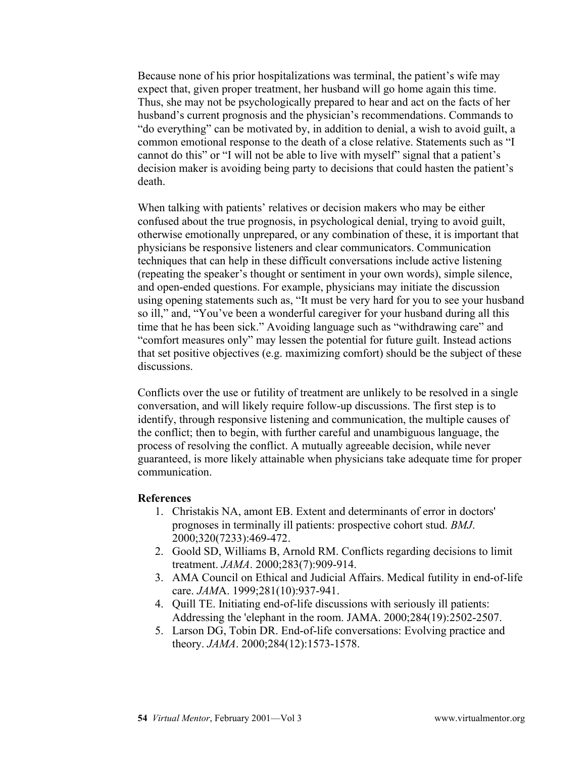Because none of his prior hospitalizations was terminal, the patient's wife may expect that, given proper treatment, her husband will go home again this time. Thus, she may not be psychologically prepared to hear and act on the facts of her husband's current prognosis and the physician's recommendations. Commands to "do everything" can be motivated by, in addition to denial, a wish to avoid guilt, a common emotional response to the death of a close relative. Statements such as "I cannot do this" or "I will not be able to live with myself" signal that a patient's decision maker is avoiding being party to decisions that could hasten the patient's death.

When talking with patients' relatives or decision makers who may be either confused about the true prognosis, in psychological denial, trying to avoid guilt, otherwise emotionally unprepared, or any combination of these, it is important that physicians be responsive listeners and clear communicators. Communication techniques that can help in these difficult conversations include active listening (repeating the speaker's thought or sentiment in your own words), simple silence, and open-ended questions. For example, physicians may initiate the discussion using opening statements such as, "It must be very hard for you to see your husband so ill," and, "You've been a wonderful caregiver for your husband during all this time that he has been sick." Avoiding language such as "withdrawing care" and "comfort measures only" may lessen the potential for future guilt. Instead actions that set positive objectives (e.g. maximizing comfort) should be the subject of these discussions.

Conflicts over the use or futility of treatment are unlikely to be resolved in a single conversation, and will likely require follow-up discussions. The first step is to identify, through responsive listening and communication, the multiple causes of the conflict; then to begin, with further careful and unambiguous language, the process of resolving the conflict. A mutually agreeable decision, while never guaranteed, is more likely attainable when physicians take adequate time for proper communication.

#### **References**

- 1. Christakis NA, amont EB. Extent and determinants of error in doctors' prognoses in terminally ill patients: prospective cohort stud. *BMJ*. 2000;320(7233):469-472.
- 2. Goold SD, Williams B, Arnold RM. Conflicts regarding decisions to limit treatment. *JAMA*. 2000;283(7):909-914.
- 3. AMA Council on Ethical and Judicial Affairs. Medical futility in end-of-life care. *JAM*A. 1999;281(10):937-941.
- 4. Quill TE. Initiating end-of-life discussions with seriously ill patients: Addressing the 'elephant in the room. JAMA. 2000;284(19):2502-2507.
- 5. Larson DG, Tobin DR. End-of-life conversations: Evolving practice and theory. *JAMA*. 2000;284(12):1573-1578.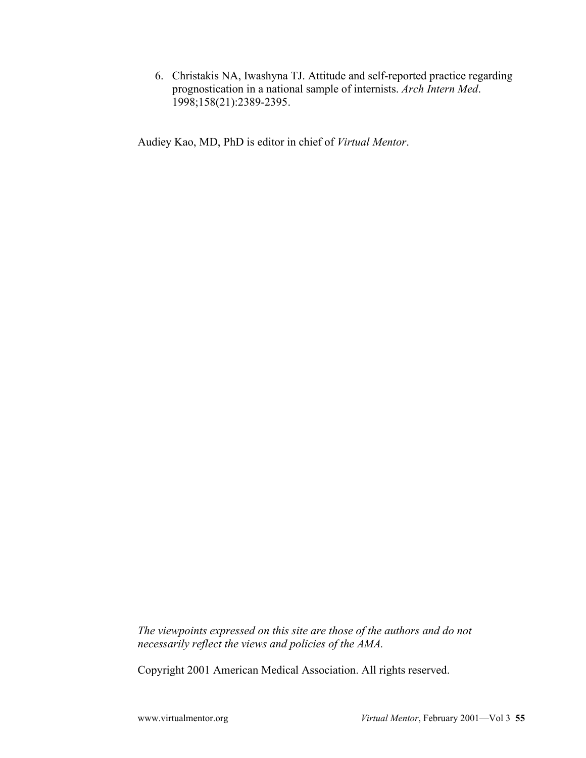6. Christakis NA, Iwashyna TJ. Attitude and self-reported practice regarding prognostication in a national sample of internists. *Arch Intern Med*. 1998;158(21):2389-2395.

Audiey Kao, MD, PhD is editor in chief of *Virtual Mentor*.

*The viewpoints expressed on this site are those of the authors and do not necessarily reflect the views and policies of the AMA.*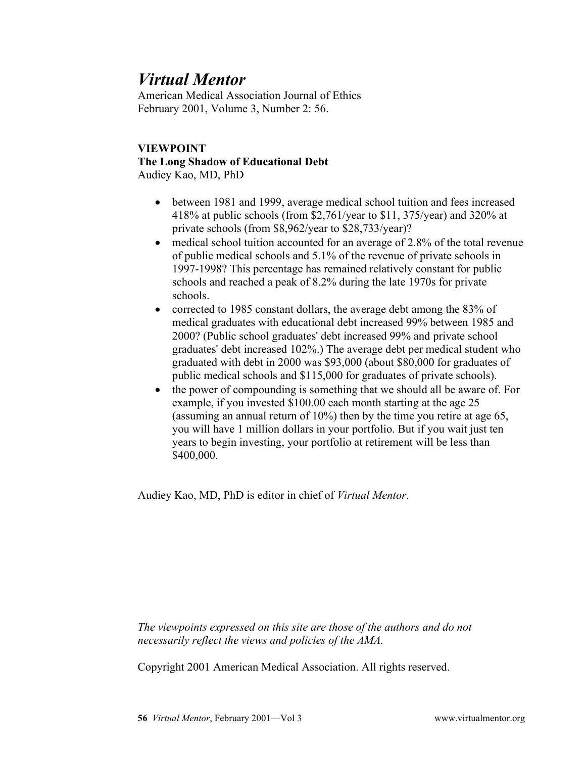American Medical Association Journal of Ethics February 2001, Volume 3, Number 2: 56.

#### **VIEWPOINT The Long Shadow of Educational Debt** Audiey Kao, MD, PhD

- between 1981 and 1999, average medical school tuition and fees increased 418% at public schools (from \$2,761/year to \$11, 375/year) and 320% at private schools (from \$8,962/year to \$28,733/year)?
- medical school tuition accounted for an average of 2.8% of the total revenue of public medical schools and 5.1% of the revenue of private schools in 1997-1998? This percentage has remained relatively constant for public schools and reached a peak of 8.2% during the late 1970s for private schools.
- corrected to 1985 constant dollars, the average debt among the 83% of medical graduates with educational debt increased 99% between 1985 and 2000? (Public school graduates' debt increased 99% and private school graduates' debt increased 102%.) The average debt per medical student who graduated with debt in 2000 was \$93,000 (about \$80,000 for graduates of public medical schools and \$115,000 for graduates of private schools).
- the power of compounding is something that we should all be aware of. For example, if you invested \$100.00 each month starting at the age 25 (assuming an annual return of 10%) then by the time you retire at age 65, you will have 1 million dollars in your portfolio. But if you wait just ten years to begin investing, your portfolio at retirement will be less than \$400,000.

Audiey Kao, MD, PhD is editor in chief of *Virtual Mentor*.

*The viewpoints expressed on this site are those of the authors and do not necessarily reflect the views and policies of the AMA.*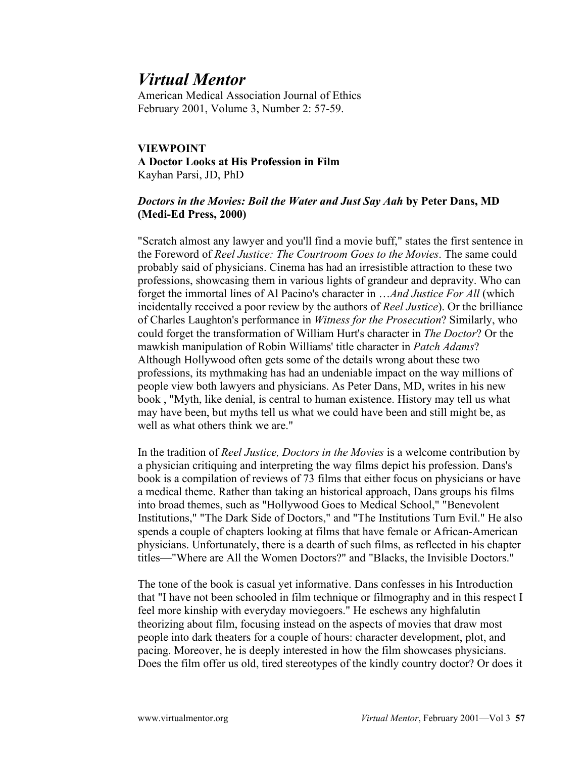American Medical Association Journal of Ethics February 2001, Volume 3, Number 2: 57-59.

#### **VIEWPOINT A Doctor Looks at His Profession in Film** Kayhan Parsi, JD, PhD

#### *Doctors in the Movies: Boil the Water and Just Say Aah* **by Peter Dans, MD (Medi-Ed Press, 2000)**

"Scratch almost any lawyer and you'll find a movie buff," states the first sentence in the Foreword of *Reel Justice: The Courtroom Goes to the Movies*. The same could probably said of physicians. Cinema has had an irresistible attraction to these two professions, showcasing them in various lights of grandeur and depravity. Who can forget the immortal lines of Al Pacino's character in …*And Justice For All* (which incidentally received a poor review by the authors of *Reel Justice*). Or the brilliance of Charles Laughton's performance in *Witness for the Prosecution*? Similarly, who could forget the transformation of William Hurt's character in *The Doctor*? Or the mawkish manipulation of Robin Williams' title character in *Patch Adams*? Although Hollywood often gets some of the details wrong about these two professions, its mythmaking has had an undeniable impact on the way millions of people view both lawyers and physicians. As Peter Dans, MD, writes in his new book , "Myth, like denial, is central to human existence. History may tell us what may have been, but myths tell us what we could have been and still might be, as well as what others think we are."

In the tradition of *Reel Justice, Doctors in the Movies* is a welcome contribution by a physician critiquing and interpreting the way films depict his profession. Dans's book is a compilation of reviews of 73 films that either focus on physicians or have a medical theme. Rather than taking an historical approach, Dans groups his films into broad themes, such as "Hollywood Goes to Medical School," "Benevolent Institutions," "The Dark Side of Doctors," and "The Institutions Turn Evil." He also spends a couple of chapters looking at films that have female or African-American physicians. Unfortunately, there is a dearth of such films, as reflected in his chapter titles—"Where are All the Women Doctors?" and "Blacks, the Invisible Doctors."

The tone of the book is casual yet informative. Dans confesses in his Introduction that "I have not been schooled in film technique or filmography and in this respect I feel more kinship with everyday moviegoers." He eschews any highfalutin theorizing about film, focusing instead on the aspects of movies that draw most people into dark theaters for a couple of hours: character development, plot, and pacing. Moreover, he is deeply interested in how the film showcases physicians. Does the film offer us old, tired stereotypes of the kindly country doctor? Or does it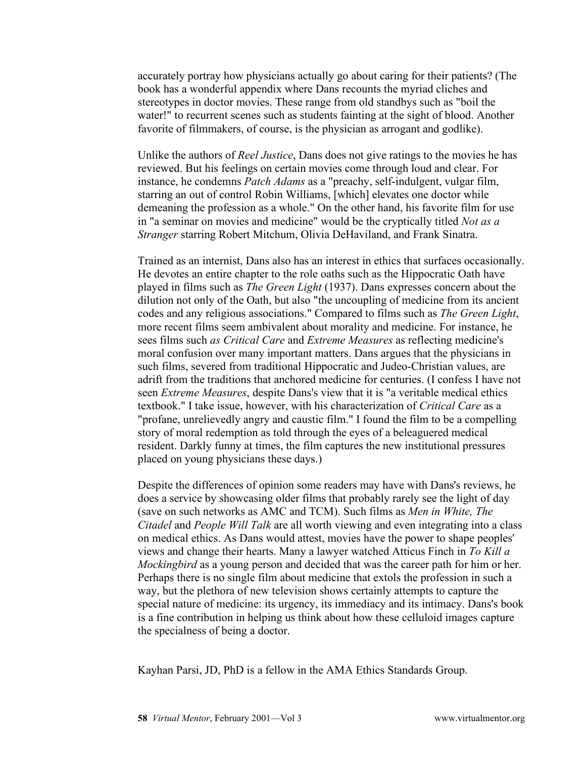accurately portray how physicians actually go about caring for their patients? (The book has a wonderful appendix where Dans recounts the myriad cliches and stereotypes in doctor movies. These range from old standbys such as "boil the water!" to recurrent scenes such as students fainting at the sight of blood. Another favorite of filmmakers, of course, is the physician as arrogant and godlike).

Unlike the authors of *Reel Justice*, Dans does not give ratings to the movies he has reviewed. But his feelings on certain movies come through loud and clear. For instance, he condemns *Patch Adams* as a "preachy, self-indulgent, vulgar film, starring an out of control Robin Williams, [which] elevates one doctor while demeaning the profession as a whole." On the other hand, his favorite film for use in "a seminar on movies and medicine" would be the cryptically titled *Not as a Stranger* starring Robert Mitchum, Olivia DeHaviland, and Frank Sinatra.

Trained as an internist, Dans also has an interest in ethics that surfaces occasionally. He devotes an entire chapter to the role oaths such as the Hippocratic Oath have played in films such as *The Green Light* (1937). Dans expresses concern about the dilution not only of the Oath, but also "the uncoupling of medicine from its ancient codes and any religious associations." Compared to films such as *The Green Light*, more recent films seem ambivalent about morality and medicine. For instance, he sees films such *as Critical Care* and *Extreme Measures* as reflecting medicine's moral confusion over many important matters. Dans argues that the physicians in such films, severed from traditional Hippocratic and Judeo-Christian values, are adrift from the traditions that anchored medicine for centuries. (I confess I have not seen *Extreme Measures*, despite Dans's view that it is "a veritable medical ethics textbook." I take issue, however, with his characterization of *Critical Care* as a "profane, unrelievedly angry and caustic film." I found the film to be a compelling story of moral redemption as told through the eyes of a beleaguered medical resident. Darkly funny at times, the film captures the new institutional pressures placed on young physicians these days.)

Despite the differences of opinion some readers may have with Dans's reviews, he does a service by showcasing older films that probably rarely see the light of day (save on such networks as AMC and TCM). Such films as *Men in White, The Citadel* and *People Will Talk* are all worth viewing and even integrating into a class on medical ethics. As Dans would attest, movies have the power to shape peoples' views and change their hearts. Many a lawyer watched Atticus Finch in *To Kill a Mockingbird* as a young person and decided that was the career path for him or her. Perhaps there is no single film about medicine that extols the profession in such a way, but the plethora of new television shows certainly attempts to capture the special nature of medicine: its urgency, its immediacy and its intimacy. Dans's book is a fine contribution in helping us think about how these celluloid images capture the specialness of being a doctor.

Kayhan Parsi, JD, PhD is a fellow in the AMA Ethics Standards Group.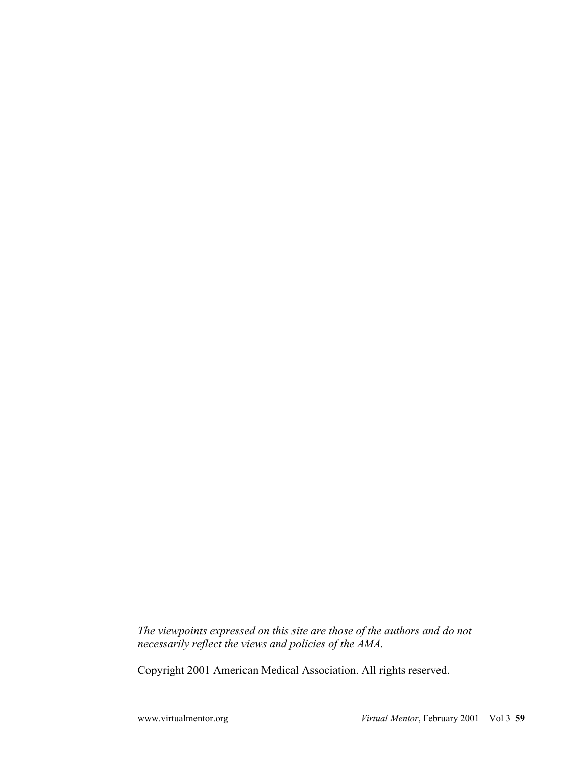*The viewpoints expressed on this site are those of the authors and do not necessarily reflect the views and policies of the AMA.*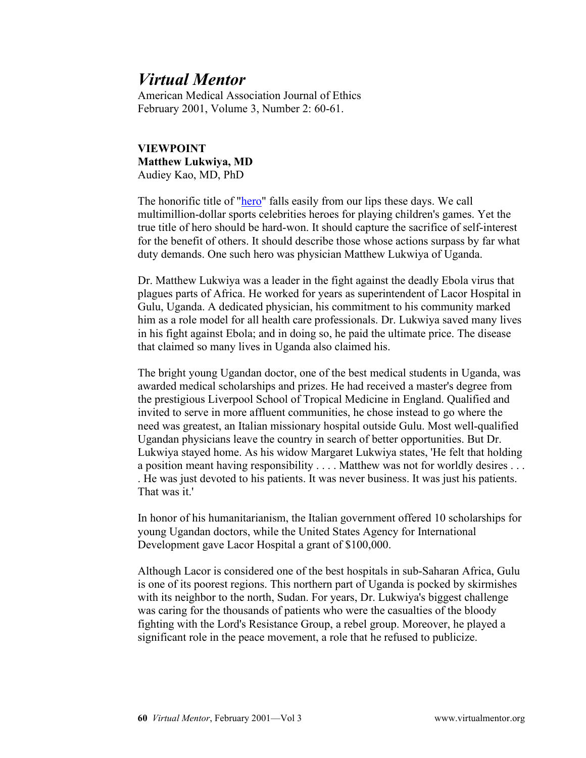American Medical Association Journal of Ethics February 2001, Volume 3, Number 2: 60-61.

**VIEWPOINT Matthew Lukwiya, MD** Audiey Kao, MD, PhD

The honorific title of "hero" falls easily from our lips these days. We call multimillion-dollar sports celebrities heroes for playing children's games. Yet the true title of hero should be hard-won. It should capture the sacrifice of self-interest for the benefit of others. It should describe those whose actions surpass by far what duty demands. One such hero was physician Matthew Lukwiya of Uganda.

Dr. Matthew Lukwiya was a leader in the fight against the deadly Ebola virus that plagues parts of Africa. He worked for years as superintendent of Lacor Hospital in Gulu, Uganda. A dedicated physician, his commitment to his community marked him as a role model for all health care professionals. Dr. Lukwiya saved many lives in his fight against Ebola; and in doing so, he paid the ultimate price. The disease that claimed so many lives in Uganda also claimed his.

The bright young Ugandan doctor, one of the best medical students in Uganda, was awarded medical scholarships and prizes. He had received a master's degree from the prestigious Liverpool School of Tropical Medicine in England. Qualified and invited to serve in more affluent communities, he chose instead to go where the need was greatest, an Italian missionary hospital outside Gulu. Most well-qualified Ugandan physicians leave the country in search of better opportunities. But Dr. Lukwiya stayed home. As his widow Margaret Lukwiya states, 'He felt that holding a position meant having responsibility . . . . Matthew was not for worldly desires . . . . He was just devoted to his patients. It was never business. It was just his patients. That was it!

In honor of his humanitarianism, the Italian government offered 10 scholarships for young Ugandan doctors, while the United States Agency for International Development gave Lacor Hospital a grant of \$100,000.

Although Lacor is considered one of the best hospitals in sub-Saharan Africa, Gulu is one of its poorest regions. This northern part of Uganda is pocked by skirmishes with its neighbor to the north, Sudan. For years, Dr. Lukwiya's biggest challenge was caring for the thousands of patients who were the casualties of the bloody fighting with the Lord's Resistance Group, a rebel group. Moreover, he played a significant role in the peace movement, a role that he refused to publicize.